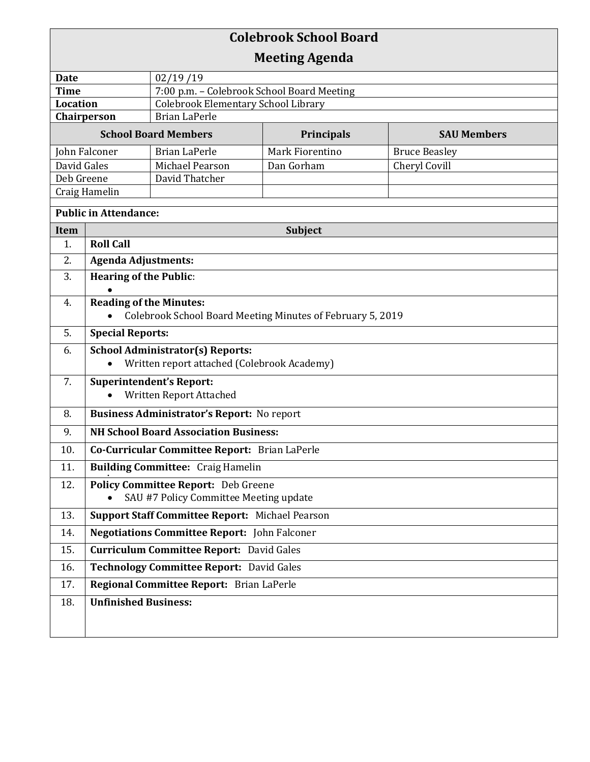| <b>Colebrook School Board</b>       |                                                                                              |                                            |                   |                      |  |  |
|-------------------------------------|----------------------------------------------------------------------------------------------|--------------------------------------------|-------------------|----------------------|--|--|
| <b>Meeting Agenda</b>               |                                                                                              |                                            |                   |                      |  |  |
| <b>Date</b>                         |                                                                                              | 02/19/19                                   |                   |                      |  |  |
| <b>Time</b>                         |                                                                                              | 7:00 p.m. - Colebrook School Board Meeting |                   |                      |  |  |
| <b>Location</b>                     |                                                                                              | <b>Colebrook Elementary School Library</b> |                   |                      |  |  |
| <b>Brian LaPerle</b><br>Chairperson |                                                                                              |                                            |                   |                      |  |  |
|                                     |                                                                                              | <b>School Board Members</b>                | <b>Principals</b> | <b>SAU Members</b>   |  |  |
| John Falconer                       |                                                                                              | <b>Brian LaPerle</b>                       | Mark Fiorentino   | <b>Bruce Beasley</b> |  |  |
| David Gales<br>Deb Greene           |                                                                                              | Michael Pearson<br>David Thatcher          | Dan Gorham        | Cheryl Covill        |  |  |
| Craig Hamelin                       |                                                                                              |                                            |                   |                      |  |  |
| <b>Public in Attendance:</b>        |                                                                                              |                                            |                   |                      |  |  |
|                                     |                                                                                              |                                            |                   |                      |  |  |
| Item<br>1.                          | <b>Subject</b><br><b>Roll Call</b>                                                           |                                            |                   |                      |  |  |
| 2.                                  | <b>Agenda Adjustments:</b>                                                                   |                                            |                   |                      |  |  |
| 3.                                  | <b>Hearing of the Public:</b>                                                                |                                            |                   |                      |  |  |
|                                     |                                                                                              |                                            |                   |                      |  |  |
| 4.                                  | <b>Reading of the Minutes:</b><br>Colebrook School Board Meeting Minutes of February 5, 2019 |                                            |                   |                      |  |  |
|                                     |                                                                                              |                                            |                   |                      |  |  |
| 5.                                  | <b>Special Reports:</b>                                                                      |                                            |                   |                      |  |  |
| 6.                                  | <b>School Administrator(s) Reports:</b><br>Written report attached (Colebrook Academy)       |                                            |                   |                      |  |  |
| 7.                                  |                                                                                              |                                            |                   |                      |  |  |
|                                     | <b>Superintendent's Report:</b><br>Written Report Attached                                   |                                            |                   |                      |  |  |
| 8.                                  | <b>Business Administrator's Report:</b> No report                                            |                                            |                   |                      |  |  |
| 9.                                  | <b>NH School Board Association Business:</b>                                                 |                                            |                   |                      |  |  |
| 10.                                 | Co-Curricular Committee Report: Brian LaPerle                                                |                                            |                   |                      |  |  |
| 11.                                 | <b>Building Committee:</b> Craig Hamelin                                                     |                                            |                   |                      |  |  |
| 12.                                 | <b>Policy Committee Report:</b> Deb Greene                                                   |                                            |                   |                      |  |  |
|                                     |                                                                                              | SAU #7 Policy Committee Meeting update     |                   |                      |  |  |
| 13.                                 | Support Staff Committee Report: Michael Pearson                                              |                                            |                   |                      |  |  |
| 14.                                 | <b>Negotiations Committee Report:</b> John Falconer                                          |                                            |                   |                      |  |  |
| 15.                                 | <b>Curriculum Committee Report: David Gales</b>                                              |                                            |                   |                      |  |  |
| 16.                                 | Technology Committee Report: David Gales                                                     |                                            |                   |                      |  |  |
| 17.                                 | Regional Committee Report: Brian LaPerle                                                     |                                            |                   |                      |  |  |
| 18.                                 | <b>Unfinished Business:</b>                                                                  |                                            |                   |                      |  |  |
|                                     |                                                                                              |                                            |                   |                      |  |  |
|                                     |                                                                                              |                                            |                   |                      |  |  |